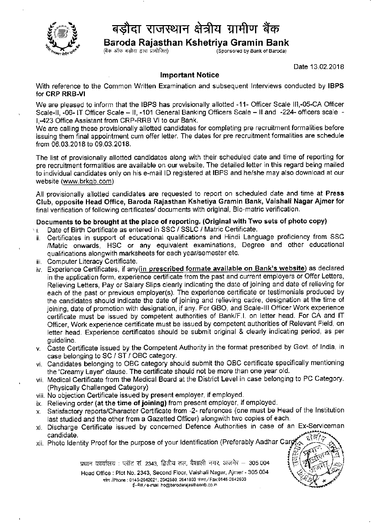

## बड़ौदा राजस्थान क्षेत्रीय ग्रामीण बैंक

Baroda Rajasthan Kshetriya Gramin Bank<br>(बैंक ऑफ बड़ौदा द्वारा प्रायोजित)

(बैंक ऑफ बड़ोदा द्वारा प्रायोजित)

Date 13.02.2018

## lmportant Notice

With reference to the Common Written Examination and subsequent Interviews conducted by IBPS for CRP RRB.VI

We are pleased to inform that the IBPS has provisionally allotted -11- Officer Scale III,-05-CA Officer Scale-II, -06- IT Officer Scale - II, -101 General Banking Officers Scale - II and -224- officers scale l,-423 Office Assistant from CRP-RRB Vl to our Bank.

We are calling these provisionally allotted candidates for completing pre recruitment formalities before issuing them final appointment cum offer letter. The dates for pre recruitment formalities are schedule from 06.03.2018 to 09.03.2018.

The list of provisionally allotted candidates along with their scheduled date and time of reporting for pre recruitment formalities are available on our website. The detailed letter in this regard being mailed to individual candidates only on his e-mail lD registered at IBPS and he/she may also download at our website (www.brkgb.com)

All provisionally allotted candidates are requested to report on scheduled date and time at Press Club, opposite Head Office, Baroda Raiasthan Kshetiya Gramin Bank, Vaishali Nagar Ajmer for final verification of following certificates/ documents with original, Bio-matric verification.

## Documents to be brought at the place of reporting. (Original with Two sets of photo copy)

- Date of Birth Certificate as entered in SSC / SSLC / Matric Certificate. 'l
- Certificates in support of educational qualifications and Hindi Language proficiency from SSC ii /Matric onwards, HSC or any equivalent examinations, Degree and other educational qualifications alongwith marksheets for each year/semester etc.
- iii. Computer Literacy Certificate.
- iv. Experience Certificates, if any(in prescribed formate available on Bank's website) as declared in the application form, experience certificate from the past and current employers or Offer Letters, Relieving Letters, Pay or Salary Slips clearly indicating the date of joining and date of relieving for each of the past or previous employer(s). The experience certificate or testimonials produced by the candidates should indicate the date of joining and relieving cadre, designation at the time of joining, date of promotion with designation, if any. For GBO, and Scale-lll Officer Work experience certificate must be issued by competent authorities of Bank/F.I. on letter head. For CA and IT Officer, Work experience certificate must be issued by competent authorities of Relevant Field, on letter head. Experience certificates should be submit original & clearly indicating period, as per guideline.
- v. Caste Certificate issued by the Competent Authority in the format prescribed by Govt. of lndia, in case belonging to SC / ST / OBC category.
- vi. Candidates belonging to OBC category should submit the OBC certificate specifically mentioning the 'Creamy Layer' clause. The certificate should not be more than one year old.
- vii. Nledical Certificate from the Medical Board at the District Level in case belonging to PC Category. (Physically Challenged Category)
- viii. No objection Certificate issued by present employer, if employed.
- ix. Relieving order (at the time of joining) from present employer, if employed.
- x. Satisfactory reports/Character Certiflcate from -2- references (one must be Head of the lnstitution last studied and the other from a Gazetted Officer) alongwith two copies of each
- xl. Discharge Certificate issued by concerned Defence Authorities in case of an Ex-Serviceman candidate.
- xii. Photo Identity Proof for the purpose of your Identification (Preferably Aadhar Carg

प्रधान कार्यालय : प्लॉट सं. 2343, द्वितीय तल, वैशाली नगर, अजमेर  $-$  305 004 Head Office : Plot No. 2343, Second Floor, Vaishali Nagar, Ajmer - 305 004 फोन /Phone : 0145-2642621, 2642580, 2641893 फेक्स / Fax:0145-2642603 ई-मेल/e-mail ho@barodarajasthanmb.co.in